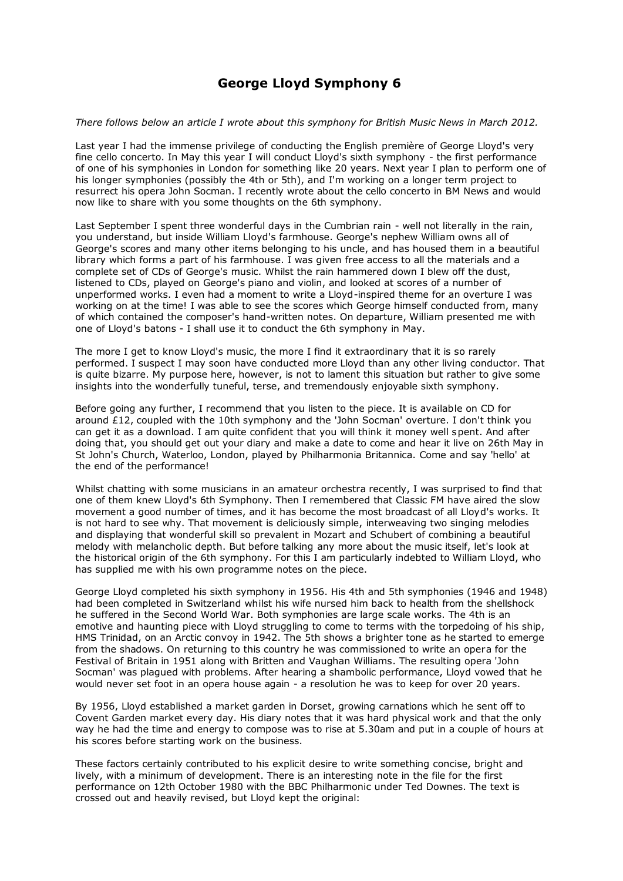## **George Lloyd Symphony 6**

## *There follows below an article I wrote about this symphony for British Music News in March 2012.*

Last year I had the immense privilege of conducting the English première of George Lloyd's very fine cello concerto. In May this year I will conduct Lloyd's sixth symphony - the first performance of one of his symphonies in London for something like 20 years. Next year I plan to perform one of his longer symphonies (possibly the 4th or 5th), and I'm working on a longer term project to resurrect his opera John Socman. I recently wrote about the cello concerto in BM News and would now like to share with you some thoughts on the 6th symphony.

Last September I spent three wonderful days in the Cumbrian rain - well not literally in the rain, you understand, but inside William Lloyd's farmhouse. George's nephew William owns all of George's scores and many other items belonging to his uncle, and has housed them in a beautiful library which forms a part of his farmhouse. I was given free access to all the materials and a complete set of CDs of George's music. Whilst the rain hammered down I blew off the dust, listened to CDs, played on George's piano and violin, and looked at scores of a number of unperformed works. I even had a moment to write a Lloyd-inspired theme for an overture I was working on at the time! I was able to see the scores which George himself conducted from, many of which contained the composer's hand-written notes. On departure, William presented me with one of Lloyd's batons - I shall use it to conduct the 6th symphony in May.

The more I get to know Lloyd's music, the more I find it extraordinary that it is so rarely performed. I suspect I may soon have conducted more Lloyd than any other living conductor. That is quite bizarre. My purpose here, however, is not to lament this situation but rather to give some insights into the wonderfully tuneful, terse, and tremendously enjoyable sixth symphony.

Before going any further, I recommend that you listen to the piece. It is available on CD for around £12, coupled with the 10th symphony and the 'John Socman' overture. I don't think you can get it as a download. I am quite confident that you will think it money well spent. And after doing that, you should get out your diary and make a date to come and hear it live on 26th May in St John's Church, Waterloo, London, played by Philharmonia Britannica. Come and say 'hello' at the end of the performance!

Whilst chatting with some musicians in an amateur orchestra recently, I was surprised to find that one of them knew Lloyd's 6th Symphony. Then I remembered that Classic FM have aired the slow movement a good number of times, and it has become the most broadcast of all Lloyd's works. It is not hard to see why. That movement is deliciously simple, interweaving two singing melodies and displaying that wonderful skill so prevalent in Mozart and Schubert of combining a beautiful melody with melancholic depth. But before talking any more about the music itself, let's look at the historical origin of the 6th symphony. For this I am particularly indebted to William Lloyd, who has supplied me with his own programme notes on the piece.

George Lloyd completed his sixth symphony in 1956. His 4th and 5th symphonies (1946 and 1948) had been completed in Switzerland whilst his wife nursed him back to health from the shellshock he suffered in the Second World War. Both symphonies are large scale works. The 4th is an emotive and haunting piece with Lloyd struggling to come to terms with the torpedoing of his ship, HMS Trinidad, on an Arctic convoy in 1942. The 5th shows a brighter tone as he started to emerge from the shadows. On returning to this country he was commissioned to write an opera for the Festival of Britain in 1951 along with Britten and Vaughan Williams. The resulting opera 'John Socman' was plagued with problems. After hearing a shambolic performance, Lloyd vowed that he would never set foot in an opera house again - a resolution he was to keep for over 20 years.

By 1956, Lloyd established a market garden in Dorset, growing carnations which he sent off to Covent Garden market every day. His diary notes that it was hard physical work and that the only way he had the time and energy to compose was to rise at 5.30am and put in a couple of hours at his scores before starting work on the business.

These factors certainly contributed to his explicit desire to write something concise, bright and lively, with a minimum of development. There is an interesting note in the file for the first performance on 12th October 1980 with the BBC Philharmonic under Ted Downes. The text is crossed out and heavily revised, but Lloyd kept the original: